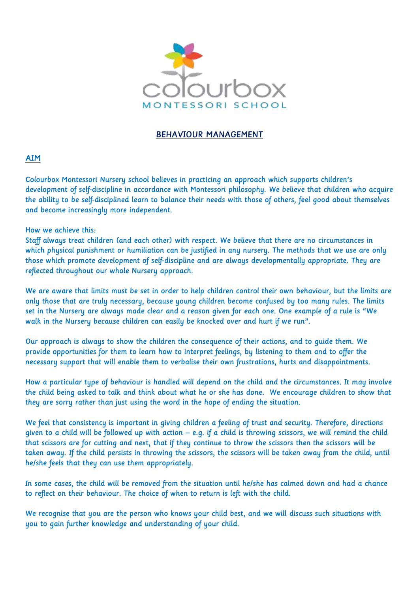

## BEHAVIOUR MANAGEMENT

## AIM

Colourbox Montessori Nursery school believes in practicing an approach which supports children's development of self-discipline in accordance with Montessori philosophy. We believe that children who acquire the ability to be self-disciplined learn to balance their needs with those of others, feel good about themselves and become increasingly more independent.

## How we achieve this:

Staff always treat children (and each other) with respect. We believe that there are no circumstances in which physical punishment or humiliation can be justified in any nursery. The methods that we use are only those which promote development of self-discipline and are always developmentally appropriate. They are reflected throughout our whole Nursery approach.

We are aware that limits must be set in order to help children control their own behaviour, but the limits are only those that are truly necessary, because young children become confused by too many rules. The limits set in the Nursery are always made clear and a reason given for each one. One example of a rule is "We walk in the Nursery because children can easily be knocked over and hurt if we run".

Our approach is always to show the children the consequence of their actions, and to guide them. We provide opportunities for them to learn how to interpret feelings, by listening to them and to offer the necessary support that will enable them to verbalise their own frustrations, hurts and disappointments.

How a particular type of behaviour is handled will depend on the child and the circumstances. It may involve the child being asked to talk and think about what he or she has done. We encourage children to show that they are sorry rather than just using the word in the hope of ending the situation.

We feel that consistency is important in giving children a feeling of trust and security. Therefore, directions given to a child will be followed up with action – e.g. if a child is throwing scissors, we will remind the child that scissors are for cutting and next, that if they continue to throw the scissors then the scissors will be taken away. If the child persists in throwing the scissors, the scissors will be taken away from the child, until he/she feels that they can use them appropriately.

In some cases, the child will be removed from the situation until he/she has calmed down and had a chance to reflect on their behaviour. The choice of when to return is left with the child.

We recognise that you are the person who knows your child best, and we will discuss such situations with you to gain further knowledge and understanding of your child.